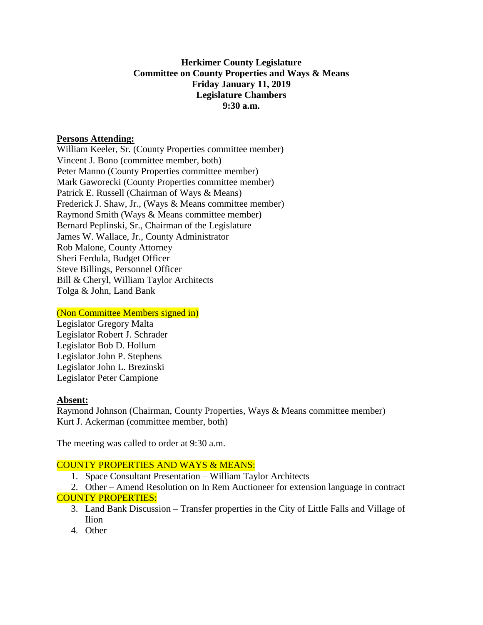## **Herkimer County Legislature Committee on County Properties and Ways & Means Friday January 11, 2019 Legislature Chambers 9:30 a.m.**

### **Persons Attending:**

William Keeler, Sr. (County Properties committee member) Vincent J. Bono (committee member, both) Peter Manno (County Properties committee member) Mark Gaworecki (County Properties committee member) Patrick E. Russell (Chairman of Ways & Means) Frederick J. Shaw, Jr., (Ways & Means committee member) Raymond Smith (Ways & Means committee member) Bernard Peplinski, Sr., Chairman of the Legislature James W. Wallace, Jr., County Administrator Rob Malone, County Attorney Sheri Ferdula, Budget Officer Steve Billings, Personnel Officer Bill & Cheryl, William Taylor Architects Tolga & John, Land Bank

#### (Non Committee Members signed in)

Legislator Gregory Malta Legislator Robert J. Schrader Legislator Bob D. Hollum Legislator John P. Stephens Legislator John L. Brezinski Legislator Peter Campione

# **Absent:**

Raymond Johnson (Chairman, County Properties, Ways & Means committee member) Kurt J. Ackerman (committee member, both)

The meeting was called to order at 9:30 a.m.

# COUNTY PROPERTIES AND WAYS & MEANS:

1. Space Consultant Presentation – William Taylor Architects

2. Other – Amend Resolution on In Rem Auctioneer for extension language in contract COUNTY PROPERTIES:

- 3. Land Bank Discussion Transfer properties in the City of Little Falls and Village of Ilion
- 4. Other